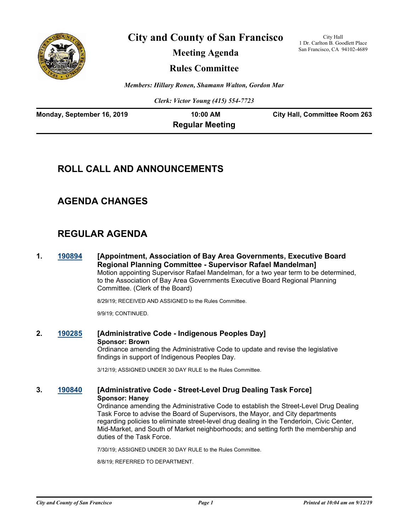

**City and County of San Francisco**

City Hall 1 Dr. Carlton B. Goodlett Place San Francisco, CA 94102-4689

**Meeting Agenda**

**Rules Committee**

*Members: Hillary Ronen, Shamann Walton, Gordon Mar*

*Clerk: Victor Young (415) 554-7723*

| Monday, September 16, 2019 | $10:00$ AM             | <b>City Hall, Committee Room 263</b> |
|----------------------------|------------------------|--------------------------------------|
|                            | <b>Regular Meeting</b> |                                      |

# **ROLL CALL AND ANNOUNCEMENTS**

## **AGENDA CHANGES**

# **REGULAR AGENDA**

**1. [190894](http://sfgov.legistar.com/gateway.aspx?m=l&id=35016) [Appointment, Association of Bay Area Governments, Executive Board Regional Planning Committee - Supervisor Rafael Mandelman]** Motion appointing Supervisor Rafael Mandelman, for a two year term to be determined, to the Association of Bay Area Governments Executive Board Regional Planning Committee. (Clerk of the Board)

8/29/19; RECEIVED AND ASSIGNED to the Rules Committee.

9/9/19; CONTINUED.

**2. [190285](http://sfgov.legistar.com/gateway.aspx?m=l&id=34406) [Administrative Code - Indigenous Peoples Day] Sponsor: Brown** Ordinance amending the Administrative Code to update and revise the legislative findings in support of Indigenous Peoples Day.

3/12/19; ASSIGNED UNDER 30 DAY RULE to the Rules Committee.

### **3. [190840](http://sfgov.legistar.com/gateway.aspx?m=l&id=34962) [Administrative Code - Street-Level Drug Dealing Task Force] Sponsor: Haney**

Ordinance amending the Administrative Code to establish the Street-Level Drug Dealing Task Force to advise the Board of Supervisors, the Mayor, and City departments regarding policies to eliminate street-level drug dealing in the Tenderloin, Civic Center, Mid-Market, and South of Market neighborhoods; and setting forth the membership and duties of the Task Force.

7/30/19; ASSIGNED UNDER 30 DAY RULE to the Rules Committee.

8/8/19; REFERRED TO DEPARTMENT.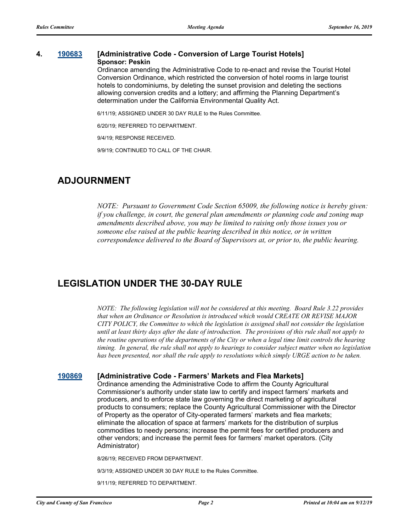#### **4. [190683](http://sfgov.legistar.com/gateway.aspx?m=l&id=34805) [Administrative Code - Conversion of Large Tourist Hotels] Sponsor: Peskin**

Ordinance amending the Administrative Code to re-enact and revise the Tourist Hotel Conversion Ordinance, which restricted the conversion of hotel rooms in large tourist hotels to condominiums, by deleting the sunset provision and deleting the sections allowing conversion credits and a lottery; and affirming the Planning Department's determination under the California Environmental Quality Act.

6/11/19; ASSIGNED UNDER 30 DAY RULE to the Rules Committee.

6/20/19; REFERRED TO DEPARTMENT.

9/4/19; RESPONSE RECEIVED.

9/9/19; CONTINUED TO CALL OF THE CHAIR.

### **ADJOURNMENT**

*NOTE: Pursuant to Government Code Section 65009, the following notice is hereby given: if you challenge, in court, the general plan amendments or planning code and zoning map amendments described above, you may be limited to raising only those issues you or someone else raised at the public hearing described in this notice, or in written correspondence delivered to the Board of Supervisors at, or prior to, the public hearing.*

### **LEGISLATION UNDER THE 30-DAY RULE**

*NOTE: The following legislation will not be considered at this meeting. Board Rule 3.22 provides that when an Ordinance or Resolution is introduced which would CREATE OR REVISE MAJOR CITY POLICY, the Committee to which the legislation is assigned shall not consider the legislation until at least thirty days after the date of introduction. The provisions of this rule shall not apply to the routine operations of the departments of the City or when a legal time limit controls the hearing timing. In general, the rule shall not apply to hearings to consider subject matter when no legislation has been presented, nor shall the rule apply to resolutions which simply URGE action to be taken.*

#### **[190869](http://sfgov.legistar.com/gateway.aspx?m=l&id=34991) [Administrative Code - Farmers' Markets and Flea Markets]**

Ordinance amending the Administrative Code to affirm the County Agricultural Commissioner's authority under state law to certify and inspect farmers' markets and producers, and to enforce state law governing the direct marketing of agricultural products to consumers; replace the County Agricultural Commissioner with the Director of Property as the operator of City-operated farmers' markets and flea markets; eliminate the allocation of space at farmers' markets for the distribution of surplus commodities to needy persons; increase the permit fees for certified producers and other vendors; and increase the permit fees for farmers' market operators. (City Administrator)

8/26/19; RECEIVED FROM DEPARTMENT.

9/3/19; ASSIGNED UNDER 30 DAY RULE to the Rules Committee.

9/11/19; REFERRED TO DEPARTMENT.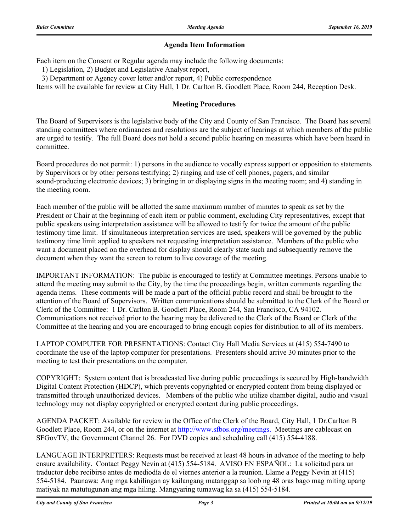#### **Agenda Item Information**

Each item on the Consent or Regular agenda may include the following documents:

1) Legislation, 2) Budget and Legislative Analyst report,

3) Department or Agency cover letter and/or report, 4) Public correspondence

Items will be available for review at City Hall, 1 Dr. Carlton B. Goodlett Place, Room 244, Reception Desk.

#### **Meeting Procedures**

The Board of Supervisors is the legislative body of the City and County of San Francisco. The Board has several standing committees where ordinances and resolutions are the subject of hearings at which members of the public are urged to testify. The full Board does not hold a second public hearing on measures which have been heard in committee.

Board procedures do not permit: 1) persons in the audience to vocally express support or opposition to statements by Supervisors or by other persons testifying; 2) ringing and use of cell phones, pagers, and similar sound-producing electronic devices; 3) bringing in or displaying signs in the meeting room; and 4) standing in the meeting room.

Each member of the public will be allotted the same maximum number of minutes to speak as set by the President or Chair at the beginning of each item or public comment, excluding City representatives, except that public speakers using interpretation assistance will be allowed to testify for twice the amount of the public testimony time limit. If simultaneous interpretation services are used, speakers will be governed by the public testimony time limit applied to speakers not requesting interpretation assistance. Members of the public who want a document placed on the overhead for display should clearly state such and subsequently remove the document when they want the screen to return to live coverage of the meeting.

IMPORTANT INFORMATION: The public is encouraged to testify at Committee meetings. Persons unable to attend the meeting may submit to the City, by the time the proceedings begin, written comments regarding the agenda items. These comments will be made a part of the official public record and shall be brought to the attention of the Board of Supervisors. Written communications should be submitted to the Clerk of the Board or Clerk of the Committee: 1 Dr. Carlton B. Goodlett Place, Room 244, San Francisco, CA 94102. Communications not received prior to the hearing may be delivered to the Clerk of the Board or Clerk of the Committee at the hearing and you are encouraged to bring enough copies for distribution to all of its members.

LAPTOP COMPUTER FOR PRESENTATIONS: Contact City Hall Media Services at (415) 554-7490 to coordinate the use of the laptop computer for presentations. Presenters should arrive 30 minutes prior to the meeting to test their presentations on the computer.

COPYRIGHT: System content that is broadcasted live during public proceedings is secured by High-bandwidth Digital Content Protection (HDCP), which prevents copyrighted or encrypted content from being displayed or transmitted through unauthorized devices. Members of the public who utilize chamber digital, audio and visual technology may not display copyrighted or encrypted content during public proceedings.

AGENDA PACKET: Available for review in the Office of the Clerk of the Board, City Hall, 1 Dr.Carlton B Goodlett Place, Room 244, or on the internet at http://www.sfbos.org/meetings. Meetings are cablecast on SFGovTV, the Government Channel 26. For DVD copies and scheduling call (415) 554-4188.

LANGUAGE INTERPRETERS: Requests must be received at least 48 hours in advance of the meeting to help ensure availability. Contact Peggy Nevin at (415) 554-5184. AVISO EN ESPAÑOL: La solicitud para un traductor debe recibirse antes de mediodía de el viernes anterior a la reunion. Llame a Peggy Nevin at (415) 554-5184. Paunawa: Ang mga kahilingan ay kailangang matanggap sa loob ng 48 oras bago mag miting upang matiyak na matutugunan ang mga hiling. Mangyaring tumawag ka sa (415) 554-5184.